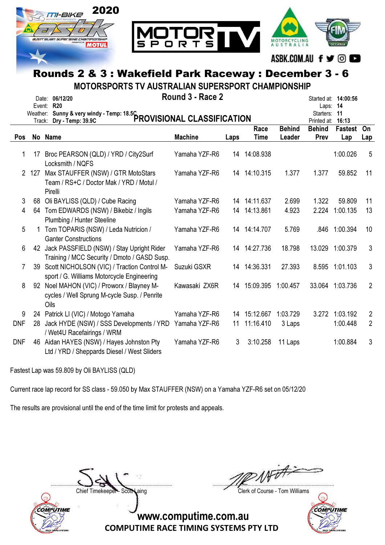

#### ASBK.COM.AU f y © D

# Rounds 2 & 3 : Wakefield Park Raceway : December 3 - 6

MOTORSPORTS TV AUSTRALIAN SUPERSPORT CHAMPIONSHIP

|     |       | Date: 06/12/20<br>Event: R20<br>Weather: Sunny & very windy - Temp: 18.5C<br>PROVISIONAL CLASSIFICATION | Round 3 - Race 2 |      |              |               | Laps:<br>Starters:           | Started at: <b>14:00:56</b><br>14<br>11 |                |
|-----|-------|---------------------------------------------------------------------------------------------------------|------------------|------|--------------|---------------|------------------------------|-----------------------------------------|----------------|
|     |       |                                                                                                         |                  |      | Race         | <b>Behind</b> | Printed at:<br><b>Behind</b> | 16:13<br><b>Fastest</b>                 | On             |
| Pos |       | No Name                                                                                                 | <b>Machine</b>   | Laps | <b>Time</b>  | Leader        | Prev                         | Lap                                     | Lap            |
|     |       |                                                                                                         |                  |      |              |               |                              |                                         |                |
| 1.  | 17    | Broc PEARSON (QLD) / YRD / City2Surf<br>Locksmith / NQFS                                                | Yamaha YZF-R6    |      | 14 14:08.938 |               |                              | 1:00.026                                | 5              |
|     | 2 127 | Max STAUFFER (NSW) / GTR MotoStars<br>Team / RS+C / Doctor Mak / YRD / Motul /<br>Pirelli               | Yamaha YZF-R6    |      | 14 14:10.315 | 1.377         | 1.377                        | 59.852                                  | 11             |
| 3   |       | 68 Oli BAYLISS (QLD) / Cube Racing                                                                      | Yamaha YZF-R6    |      | 14 14:11.637 | 2.699         | 1.322                        | 59.809                                  | 11             |
| 4   |       | 64 Tom EDWARDS (NSW) / Bikebiz / Ingils<br>Plumbing / Hunter Steeline                                   | Yamaha YZF-R6    |      | 14 14:13.861 | 4.923         | 2.224                        | 1:00.135                                | 13             |
| 5   |       | Tom TOPARIS (NSW) / Leda Nutricion /<br><b>Ganter Constructions</b>                                     | Yamaha YZF-R6    |      | 14 14:14.707 | 5.769         | .846                         | 1:00.394                                | 10             |
| 6   |       | 42 Jack PASSFIELD (NSW) / Stay Upright Rider<br>Training / MCC Security / Dmoto / GASD Susp.            | Yamaha YZF-R6    |      | 14 14:27.736 | 18.798        | 13.029                       | 1:00.379                                | 3              |
| 7   | 39    | Scott NICHOLSON (VIC) / Traction Control M-<br>sport / G. Williams Motorcycle Engineering               | Suzuki GSXR      |      | 14 14:36.331 | 27.393        |                              | 8.595 1:01.103                          | $\mathfrak{S}$ |
| 8   | 92    | Noel MAHON (VIC) / Proworx / Blayney M-<br>cycles / Well Sprung M-cycle Susp. / Penrite<br>Oils         | Kawasaki ZX6R    |      | 14 15:09.395 | 1:00.457      | 33.064                       | 1:03.736                                | $\overline{2}$ |
| 9   |       | 24 Patrick LI (VIC) / Motogo Yamaha                                                                     | Yamaha YZF-R6    | 14   | 15:12.667    | 1:03.729      | 3.272                        | 1:03.192                                | $\overline{2}$ |
| DNF | 28    | Jack HYDE (NSW) / SSS Developments / YRD Yamaha YZF-R6<br>/ Wet4U Racefairings / WRM                    |                  | 11   | 11:16.410    | 3 Laps        |                              | 1:00.448                                | $\overline{2}$ |
| DNF | 46    | Aidan HAYES (NSW) / Hayes Johnston Pty<br>Ltd / YRD / Sheppards Diesel / West Sliders                   | Yamaha YZF-R6    | 3    | 3:10.258     | 11 Laps       |                              | 1:00.884                                | $\mathfrak{S}$ |

Fastest Lap was 59.809 by Oli BAYLISS (QLD)

Current race lap record for SS class - 59.050 by Max STAUFFER (NSW) on a Yamaha YZF-R6 set on 05/12/20

The results are provisional until the end of the time limit for protests and appeals.



....................................................................................... .......................................................................................

Chief Timekeeper - Scott Laing Chief Timekeeper - Scott Laing

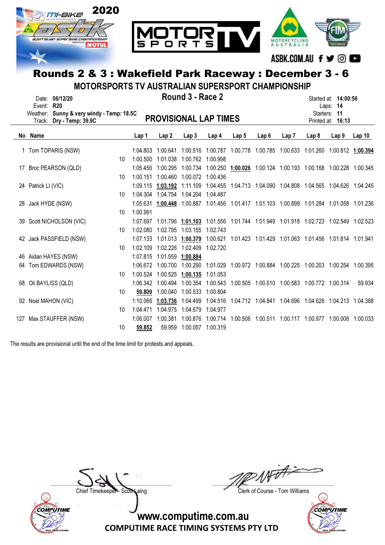

MOTORSPORTS TV AUSTRALIAN SUPERSPORT CHAMPIONSHIP

|    | Event:<br>Weather:<br>Track: | Date: 06/12/20<br><b>R20</b><br>Sunny & very windy - Temp: 18.5C<br>Dry - Temp: 39.9C |    |          |                   | Round 3 - Race 2<br><b>PROVISIONAL LAP TIMES</b> |                  |                  |                  |      |                                                                                           | Started at: <b>14:00:56</b><br>Laps: $14$<br>Starters: 11<br>Printed at: 16:13 |                   |
|----|------------------------------|---------------------------------------------------------------------------------------|----|----------|-------------------|--------------------------------------------------|------------------|------------------|------------------|------|-------------------------------------------------------------------------------------------|--------------------------------------------------------------------------------|-------------------|
|    | No Name                      |                                                                                       |    | Lap 1    | Lap <sub>2</sub>  | Lap3                                             | Lap <sub>4</sub> | Lap <sub>5</sub> | Lap <sub>6</sub> | Lap7 | Lap <sub>8</sub>                                                                          | Lap <sub>9</sub>                                                               | Lap <sub>10</sub> |
|    |                              | 1 Tom TOPARIS (NSW)                                                                   |    | 1:04.803 | 1:00.641          | 1:00.516                                         | 1:00.787         |                  |                  |      | 1:00.778 1:00.785 1:00.633 1:01.260 1:00.812 1:00.394                                     |                                                                                |                   |
|    |                              |                                                                                       | 10 | 1:00.500 | 1:01.038          | 1:00.762 1:00.998                                |                  |                  |                  |      |                                                                                           |                                                                                |                   |
| 17 |                              | Broc PEARSON (QLD)                                                                    |    | 1:05.456 | 1:00.295          |                                                  |                  |                  |                  |      | 1:00.734 1:00.250 1:00.026 1:00.124 1:00.193 1:00.168 1:00.228 1:00.345                   |                                                                                |                   |
|    |                              |                                                                                       | 10 | 1:00.151 |                   | 1:00.460 1:00.072 1:00.436                       |                  |                  |                  |      |                                                                                           |                                                                                |                   |
|    | 24 Patrick LI (VIC)          |                                                                                       |    |          |                   |                                                  |                  |                  |                  |      | 1:09.115 1:03.192 1:11.109 1:04.455 1:04.713 1:04.090 1:04.808 1:04.565 1:04.626 1:04.245 |                                                                                |                   |
|    |                              |                                                                                       | 10 | 1:04.304 |                   | 1:04.754 1:04.204 1:04.487                       |                  |                  |                  |      |                                                                                           |                                                                                |                   |
|    | 28 Jack HYDE (NSW)           |                                                                                       |    |          |                   |                                                  |                  |                  |                  |      | 1:05.631 1:00.448 1:00.887 1:01.456 1:01.417 1:01.103 1:00.899 1:01.284 1:01.058 1:01.236 |                                                                                |                   |
|    |                              |                                                                                       | 10 | 1:00.991 |                   |                                                  |                  |                  |                  |      |                                                                                           |                                                                                |                   |
|    |                              | 39 Scott NICHOLSON (VIC)                                                              |    | 1:07.697 |                   |                                                  |                  |                  |                  |      | 1:01.796  1:01.103  1:01.556  1:01.744  1:01.949  1:01.918  1:02.723  1:02.549  1:02.523  |                                                                                |                   |
|    |                              |                                                                                       | 10 | 1:02.080 | 1:02.795          | 1:03.155                                         | 1:02.743         |                  |                  |      |                                                                                           |                                                                                |                   |
|    |                              | 42 Jack PASSFIELD (NSW)                                                               |    | 1:07.133 | 1:01.013          | 1:00.379                                         | 1:00.621         |                  |                  |      | 1:01.423  1:01.429  1:01.063  1:01.456  1:01.814  1:01.941                                |                                                                                |                   |
|    |                              |                                                                                       | 10 | 1:02.109 | 1:02.226 1:02.409 |                                                  | 1:02.720         |                  |                  |      |                                                                                           |                                                                                |                   |
| 46 |                              | Aidan HAYES (NSW)                                                                     |    | 1:07.815 | 1:01.559          | 1:00.884                                         |                  |                  |                  |      |                                                                                           |                                                                                |                   |
| 64 |                              | Tom EDWARDS (NSW)                                                                     |    | 1:06.672 | 1:00.700          | 1:00.290                                         |                  |                  |                  |      | 1:01.029  1:00.972  1:00.884  1:00.225  1:00.203  1:00.254  1:00.395                      |                                                                                |                   |
|    |                              |                                                                                       | 10 | 1:00.524 | 1:00.525          | 1:00.135                                         | 1:01.053         |                  |                  |      |                                                                                           |                                                                                |                   |
| 68 |                              | Oli BAYLISS (QLD)                                                                     |    | 1:06.342 | 1:00.494          | 1:00.354                                         | 1:00.543         |                  |                  |      | 1:00.505 1:00.610 1:00.583 1:00.772 1:00.314                                              |                                                                                | 59.934            |
|    |                              |                                                                                       | 10 | 59.809   | 1:00.040          | 1:00.533                                         | 1:00.804         |                  |                  |      |                                                                                           |                                                                                |                   |
|    |                              | 92 Noel MAHON (VIC)                                                                   |    | 1:10.066 | 1:03.736          | 1:04.499                                         | 1:04.516         |                  |                  |      | 1:04.712 1:04.841 1:04.696 1:04.626 1:04.213 1:04.388                                     |                                                                                |                   |
|    |                              |                                                                                       | 10 | 1:04.471 | 1:04.975          | 1:04.679                                         | 1:04.977         |                  |                  |      |                                                                                           |                                                                                |                   |
|    |                              | 127 Max STAUFFER (NSW)                                                                |    | 1:06.007 | 1:00.381          | 1:00.876                                         | 1:00.714         |                  |                  |      | 1:00.506 1:00.511 1:00.117 1:00.977 1:00.006                                              |                                                                                | 1:00.033          |
|    |                              |                                                                                       | 10 | 59.852   | 59.959            | 1:00.057                                         | 1:00.319         |                  |                  |      |                                                                                           |                                                                                |                   |

The results are provisional until the end of the time limit for protests and appeals.



....................................................................................... .......................................................................................

Chief Timekeeper - Scott Laing Clerk of Course - Tom Williams

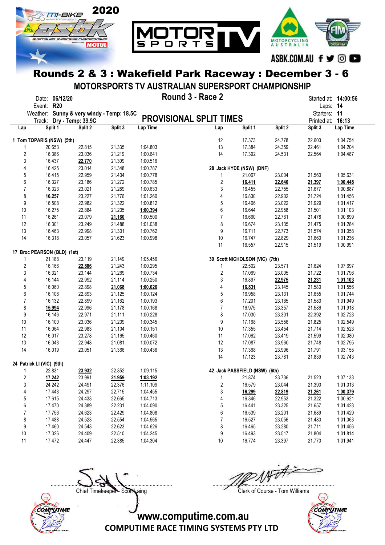

MOTORSPORTS TV AUSTRALIAN SUPERSPORT CHAMPIONSHIP

|                         | Event: R20                  | Date: 06/12/20 |                                           |         |          | Round 3 - Race 2               |                                |         | Started at: <b>14:00:56</b><br>Laps: 14 |          |
|-------------------------|-----------------------------|----------------|-------------------------------------------|---------|----------|--------------------------------|--------------------------------|---------|-----------------------------------------|----------|
|                         |                             |                | Weather: Sunny & very windy - Temp: 18.5C |         |          |                                |                                |         | Starters: 11                            |          |
|                         |                             |                | Track: Dry - Temp: 39.9C                  |         |          | <b>PROVISIONAL SPLIT TIMES</b> |                                |         | Printed at:                             | 16:13    |
| Lap                     |                             | Split 1        | Split 2                                   | Split 3 | Lap Time | Lap                            | Split 1                        | Split 2 | Split 3                                 | Lap Time |
|                         | 1 Tom TOPARIS (NSW) (5th)   |                |                                           |         |          | 12                             | 17.373                         | 24.778  | 22.603                                  | 1:04.754 |
| 1                       |                             | 20.653         | 22.815                                    | 21.335  | 1:04.803 | 13                             | 17.384                         | 24.359  | 22.461                                  | 1:04.204 |
| $\overline{2}$          |                             | 16.386         | 23.036                                    | 21.219  | 1:00.641 | 14                             | 17.392                         | 24.531  | 22.564                                  | 1:04.487 |
| 3                       |                             | 16.437         | 22.770                                    | 21.309  | 1:00.516 |                                |                                |         |                                         |          |
| 4                       |                             | 16.425         | 23.014                                    | 21.348  | 1:00.787 |                                | 28 Jack HYDE (NSW) (DNF)       |         |                                         |          |
| 5                       |                             | 16.415         | 22.959                                    | 21.404  | 1:00.778 | 1                              | 21.067                         | 23.004  | 21.560                                  | 1:05.631 |
| 6                       |                             | 16.327         | 23.186                                    | 21.272  | 1:00.785 | 2                              | 16.411                         | 22.640  | 21.397                                  | 1:00.448 |
| 7                       |                             | 16.323         | 23.021                                    | 21.289  | 1:00.633 | 3                              | 16.455                         | 22.755  | 21.677                                  | 1:00.887 |
| 8                       |                             | 16.257         | 23.227                                    | 21.776  | 1:01.260 | 4                              | 16.830                         | 22.902  | 21.724                                  | 1:01.456 |
| 9                       |                             | 16.508         | 22.982                                    | 21.322  | 1:00.812 | 5                              | 16.466                         | 23.022  | 21.929                                  | 1:01.417 |
| 10                      |                             | 16.275         | 22.884                                    | 21.235  | 1:00.394 | 6                              | 16.644                         | 22.958  | 21.501                                  | 1:01.103 |
| 11                      |                             | 16.261         | 23.079                                    | 21.160  | 1:00.500 | $\overline{7}$                 | 16.660                         | 22.761  | 21.478                                  | 1:00.899 |
| 12                      |                             | 16.301         | 23.249                                    | 21.488  | 1:01.038 | 8                              | 16.674                         | 23.135  | 21.475                                  | 1:01.284 |
| 13                      |                             | 16.463         | 22.998                                    | 21.301  | 1:00.762 | 9                              | 16.711                         | 22.773  | 21.574                                  | 1:01.058 |
| 14                      |                             | 16.318         | 23.057                                    | 21.623  | 1:00.998 | $10$                           | 16.747                         | 22.829  | 21.660                                  | 1:01.236 |
|                         |                             |                |                                           |         |          | 11                             | 16.557                         | 22.915  | 21.519                                  | 1:00.991 |
|                         | 17 Broc PEARSON (QLD) (1st) |                |                                           |         |          |                                |                                |         |                                         |          |
| 1                       |                             | 21.188         | 23.119                                    | 21.149  | 1:05.456 |                                | 39 Scott NICHOLSON (VIC) (7th) |         |                                         |          |
| $\overline{\mathbf{c}}$ |                             | 16.166         | 22.886                                    | 21.243  | 1:00.295 | 1                              | 22.502                         | 23.571  | 21.624                                  | 1:07.697 |
| 3                       |                             | 16.321         | 23.144                                    | 21.269  | 1:00.734 | 2                              | 17.069                         | 23.005  | 21.722                                  | 1:01.796 |
| 4                       |                             | 16.144         | 22.992                                    | 21.114  | 1:00.250 | 3                              | 16.897                         | 22.975  | 21.231                                  | 1:01.103 |
| 5                       |                             | 16.060         | 22.898                                    | 21.068  | 1:00.026 | 4                              | 16.831                         | 23.145  | 21.580                                  | 1:01.556 |
| 6                       |                             | 16.106         | 22.893                                    | 21.125  | 1:00.124 | 5                              | 16.958                         | 23.131  | 21.655                                  | 1:01.744 |
| $\overline{7}$          |                             | 16.132         | 22.899                                    | 21.162  | 1:00.193 | 6                              | 17.201                         | 23.165  | 21.583                                  | 1:01.949 |
| 8                       |                             | 15.994         | 22.996                                    | 21.178  | 1:00.168 | $\overline{7}$                 | 16.975                         | 23.357  | 21.586                                  | 1:01.918 |
| 9                       |                             | 16.146         | 22.971                                    | 21.111  | 1:00.228 | 8                              | 17.030                         | 23.301  | 22.392                                  | 1:02.723 |
| 10                      |                             | 16.100         | 23.036                                    | 21.209  | 1:00.345 | 9                              | 17.168                         | 23.556  | 21.825                                  | 1:02.549 |
| 11                      |                             | 16.064         | 22.983                                    | 21.104  | 1:00.151 | 10                             | 17.355                         | 23.454  | 21.714                                  | 1:02.523 |
| 12                      |                             | 16.017         | 23.278                                    | 21.165  | 1:00.460 | 11                             | 17.062                         | 23.419  | 21.599                                  | 1:02.080 |
| 13                      |                             | 16.043         | 22.948                                    | 21.081  | 1:00.072 | 12                             | 17.087                         | 23.960  | 21.748                                  | 1:02.795 |
| 14                      |                             | 16.019         | 23.051                                    | 21.366  | 1:00.436 | 13                             | 17.368                         | 23.996  | 21.791                                  | 1:03.155 |
|                         |                             |                |                                           |         |          | 14                             | 17.123                         | 23.781  | 21.839                                  | 1:02.743 |
|                         | 24 Patrick LI (VIC) (9th)   |                |                                           |         |          |                                |                                |         |                                         |          |
| 1                       |                             | 22.831         | 23.932                                    | 22.352  | 1:09.115 |                                | 42 Jack PASSFIELD (NSW) (6th)  |         |                                         |          |
| $\overline{2}$          |                             | 17.242         | 23.991                                    | 21.959  | 1:03.192 | 1                              | 21.874                         | 23.736  | 21.523                                  | 1:07.133 |
| 3                       |                             | 24.242         | 24.491                                    | 22.376  | 1:11.109 | $\overline{2}$                 | 16.579                         | 23.044  | 21.390                                  | 1:01.013 |
| 4                       |                             | 17.443         | 24.297                                    | 22.715  | 1:04.455 | 3                              | 16.299                         | 22.819  | 21.261                                  | 1:00.379 |
| 5                       |                             | 17.615         | 24.433                                    | 22.665  | 1:04.713 | 4                              | 16.346                         | 22.953  | 21.322                                  | 1:00.621 |
| 6                       |                             | 17.470         | 24.389                                    | 22.231  | 1:04.090 | 5                              | 16.441                         | 23.325  | 21.657                                  | 1:01.423 |
| 7                       |                             | 17.756         | 24.623                                    | 22.429  | 1:04.808 | 6                              | 16.539                         | 23.201  | 21.689                                  | 1:01.429 |
| 8                       |                             | 17.488         | 24.523                                    | 22.554  | 1:04.565 | $\overline{7}$                 | 16.527                         | 23.056  | 21.480                                  | 1:01.063 |
| 9                       |                             | 17.460         | 24.543                                    | 22.623  | 1:04.626 | 8                              | 16.465                         | 23.280  | 21.711                                  | 1:01.456 |
| 10                      |                             | 17.326         | 24.409                                    | 22.510  | 1:04.245 | 9                              | 16.493                         | 23.517  | 21.804                                  | 1:01.814 |
| 11                      |                             | 17.472         | 24.447                                    | 22.385  | 1:04.304 | 10                             | 16.774                         | 23.397  | 21.770                                  | 1:01.941 |



....................................................................................... .......................................................................................

Chief Timekeeper - Scott Laing Clerk of Course - Tom Williams

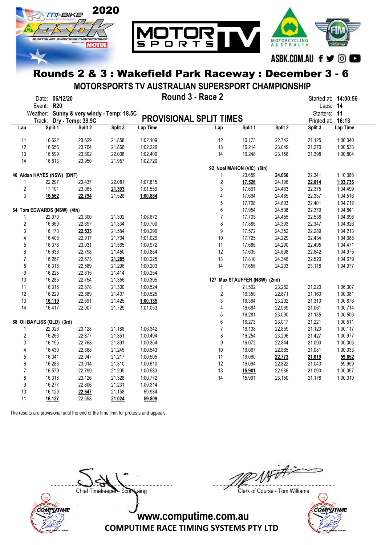

MOTORSPORTS TV AUSTRALIAN SUPERSPORT CHAMPIONSHIP

|                | Event: R20                 | Date: 06/12/20 |                                           |         |          | Round 3 - Race 2               |                              |         | Started at: 14:00:56<br>Laps: 14 |          |
|----------------|----------------------------|----------------|-------------------------------------------|---------|----------|--------------------------------|------------------------------|---------|----------------------------------|----------|
|                |                            |                | Weather: Sunny & very windy - Temp: 18.5C |         |          | <b>PROVISIONAL SPLIT TIMES</b> |                              |         | Starters: 11                     |          |
|                |                            | Split 1        | Track: Dry - Temp: 39.9C<br>Split 2       | Split 3 | Lap Time | Lap                            | Split 1                      | Split 2 | Printed at: 16:13<br>Split 3     | Lap Time |
| Lap            |                            |                |                                           |         |          |                                |                              |         |                                  |          |
| 11             |                            | 16.622         | 23.629                                    | 21.858  | 1:02.109 | 12                             | 16.173                       | 22.742  | 21.125                           | 1:00.040 |
| 12             |                            | 16.656         | 23.704                                    | 21.866  | 1:02.226 | 13                             | 16.214                       | 23.049  | 21.270                           | 1:00.533 |
| 13             |                            | 16.599         | 23.802                                    | 22.008  | 1:02.409 | 14                             | 16.248                       | 23.158  | 21.398                           | 1:00.804 |
| 14             |                            | 16.813         | 23.950                                    | 21.957  | 1:02.720 |                                |                              |         |                                  |          |
|                |                            |                |                                           |         |          |                                | 92 Noel MAHON (VIC) (8th)    |         |                                  |          |
|                | 46 Aidan HAYES (NSW) (DNF) |                |                                           |         |          | 1                              | 23.659                       | 24.066  | 22.341                           | 1:10.066 |
| 1              |                            | 22.297         | 23.437                                    | 22.081  | 1:07.815 | $\sqrt{2}$                     | 17.526                       | 24.196  | 22.014                           | 1:03.736 |
| $\overline{2}$ |                            | 17.101         | 23.065                                    | 21.393  | 1:01.559 | 3                              | 17.661                       | 24.463  | 22.375                           | 1:04.499 |
| 3              |                            | 16.562         | 22.794                                    | 21.528  | 1:00.884 | 4                              | 17.694                       | 24.485  | 22.337                           | 1:04.516 |
|                |                            |                |                                           |         |          | 5                              | 17.708                       | 24.603  | 22.401                           | 1:04.712 |
|                | 64 Tom EDWARDS (NSW) (4th) |                |                                           |         |          | 6                              | 17.954                       | 24.508  | 22.379                           | 1:04.841 |
| 1              |                            | 22.070         | 23.300                                    | 21.302  | 1:06.672 | $\overline{7}$                 | 17.703                       | 24.455  | 22.538                           | 1:04.696 |
| $\overline{2}$ |                            | 16.669         | 22.697                                    | 21.334  | 1:00.700 | 8                              | 17.886                       | 24.393  | 22.347                           | 1:04.626 |
| 3              |                            | 16.173         | 22.533                                    | 21.584  | 1:00.290 | 9                              | 17.572                       | 24.352  | 22.289                           | 1:04.213 |
| 4              |                            | 16.408         | 22.917                                    | 21.704  | 1:01.029 | 10                             | 17.725                       | 24.229  | 22.434                           | 1:04.388 |
| 5              |                            | 16.376         | 23.031                                    | 21.565  | 1:00.972 | 11                             | 17.686                       | 24.290  | 22.495                           | 1:04.471 |
| 6              |                            | 16.636         | 22.798                                    | 21.450  | 1:00.884 | 12                             | 17.635                       | 24.698  | 22.642                           | 1:04.975 |
| $\overline{7}$ |                            | 16.267         | 22.673                                    | 21.285  | 1:00.225 | 13                             | 17.810                       | 24.346  | 22.523                           | 1:04.679 |
| 8              |                            | 16.318         | 22.589                                    | 21.296  | 1:00.203 | 14                             | 17.656                       | 24.203  | 23.118                           | 1:04.977 |
| 9              |                            | 16.225         | 22.615                                    | 21.414  | 1:00.254 |                                |                              |         |                                  |          |
| 10             |                            | 16.285         | 22.754                                    | 21.356  | 1:00.395 |                                | 127 Max STAUFFER (NSW) (2nd) |         |                                  |          |
| 11             |                            | 16.316         | 22.878                                    | 21.330  | 1:00.524 | 1                              | 21.502                       | 23.282  | 21.223                           | 1:06.007 |
| 12             |                            | 16.229         | 22.889                                    | 21.407  | 1:00.525 | $\overline{2}$                 | 16.350                       | 22.871  | 21.160                           | 1:00.381 |
| 13             |                            | 16.119         | 22.591                                    | 21.425  | 1:00.135 | 3                              | 16.364                       | 23.202  | 21.310                           | 1:00.876 |
| 14             |                            | 16.417         | 22.907                                    | 21.729  | 1:01.053 | 4                              | 16.684                       | 22.969  | 21.061                           | 1:00.714 |
|                |                            |                |                                           |         |          | 5                              | 16.281                       | 23.090  | 21.135                           | 1:00.506 |
|                | 68 Oli BAYLISS (QLD) (3rd) |                |                                           |         |          | 6                              | 16.273                       | 23.017  | 21.221                           | 1:00.511 |
| 1              |                            | 22.026         | 23.128                                    | 21.188  | 1:06.342 | $\overline{7}$                 | 16.138                       | 22.859  | 21.120                           | 1:00.117 |
| $\overline{2}$ |                            | 16.266         | 22.877                                    | 21.351  | 1:00.494 | 8                              | 16.254                       | 23.296  | 21.427                           | 1:00.977 |
| 3              |                            | 16.195         | 22.768                                    | 21.391  | 1:00.354 | 9                              | 16.072                       | 22.844  | 21.090                           | 1:00.006 |
| 4              |                            | 16.430         | 22.868                                    | 21.245  | 1:00.543 | 10                             | 16.067                       | 22.885  | 21.081                           | 1:00.033 |
| 5              |                            | 16.341         | 22.947                                    | 21.217  | 1:00.505 | 11                             | 16.060                       | 22.773  | 21.019                           | 59.852   |
| 6              |                            | 16.286         | 23.014                                    | 21.310  | 1:00.610 | 12                             | 16.094                       | 22.822  | 21.043                           | 59.959   |
| $\overline{7}$ |                            | 16.579         | 22.799                                    | 21.205  | 1:00.583 | 13                             | 15.981                       | 22.986  | 21.090                           | 1:00.057 |
| 8              |                            | 16.318         | 23.126                                    | 21.328  | 1:00.772 | 14                             | 15.991                       | 23.150  | 21.178                           | 1:00.319 |
| 9              |                            | 16.277         | 22.806                                    | 21.231  | 1:00.314 |                                |                              |         |                                  |          |
| 10             |                            | 16.129         | 22.647                                    | 21.158  | 59.934   |                                |                              |         |                                  |          |
| 11             |                            | 16.127         | 22.658                                    | 21.024  | 59.809   |                                |                              |         |                                  |          |

The results are provisional until the end of the time limit for protests and appeals.



....................................................................................... .......................................................................................

Chief Timekeeper - Scott Laing Clerk of Course - Tom Williams

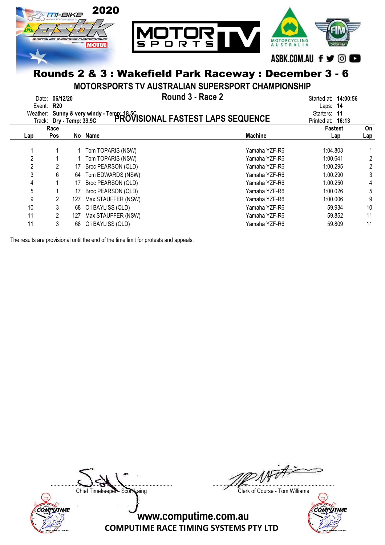

MOTORSPORTS TV AUSTRALIAN SUPERSPORT CHAMPIONSHIP

|              | Date: 06/12/20<br>Event: R20 |     | Round 3 - Race 2<br>Weather: Sunny & very windy - Temp: 18,5C<br>Track: Dry - Temp: 39.9C PROVISIONAL FASTEST LAPS SEQUENCE |                | Started at: <b>14:00:56</b><br>Laps: $14$<br>Starters:<br>-11<br>Printed at: 16:13 |           |
|--------------|------------------------------|-----|-----------------------------------------------------------------------------------------------------------------------------|----------------|------------------------------------------------------------------------------------|-----------|
| Lap          | Race<br><b>Pos</b>           |     | No Name                                                                                                                     | <b>Machine</b> | <b>Fastest</b><br>Lap                                                              | On<br>Lap |
|              |                              |     |                                                                                                                             |                |                                                                                    |           |
|              |                              |     | Tom TOPARIS (NSW)                                                                                                           | Yamaha YZF-R6  | 1:04.803                                                                           |           |
| $\mathbf{2}$ |                              |     | Tom TOPARIS (NSW)                                                                                                           | Yamaha YZF-R6  | 1:00.641                                                                           | 2         |
| 2            |                              | 17  | Broc PEARSON (QLD)                                                                                                          | Yamaha YZF-R6  | 1:00.295                                                                           | 2         |
| 3            | 6                            | 64  | Tom EDWARDS (NSW)                                                                                                           | Yamaha YZF-R6  | 1:00.290                                                                           | 3         |
| 4            |                              | 17  | Broc PEARSON (QLD)                                                                                                          | Yamaha YZF-R6  | 1:00.250                                                                           | 4         |
| 5            |                              | 17  | Broc PEARSON (QLD)                                                                                                          | Yamaha YZF-R6  | 1:00.026                                                                           | 5         |
| 9            |                              | 127 | Max STAUFFER (NSW)                                                                                                          | Yamaha YZF-R6  | 1:00.006                                                                           | 9         |
| 10           | 3                            | 68  | Oli BAYLISS (QLD)                                                                                                           | Yamaha YZF-R6  | 59.934                                                                             | 10        |
| 11           | $\overline{2}$               | 127 | Max STAUFFER (NSW)                                                                                                          | Yamaha YZF-R6  | 59.852                                                                             | 11        |
| 11           | 3                            | 68  | Oli BAYLISS (QLD)                                                                                                           | Yamaha YZF-R6  | 59.809                                                                             | 11        |

The results are provisional until the end of the time limit for protests and appeals.



....................................................................................... .......................................................................................

Chief Timekeeper - Scott Laing Clerk of Course - Tom Williams

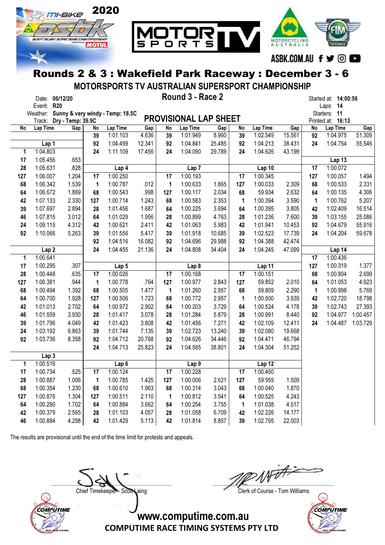

MOTORSPORTS TV AUSTRALIAN SUPERSPORT CHAMPIONSHIP

|           | Date: 06/12/20<br>Event: R20 |                   |                   |                                  |                |              | Round 3 - Race 2             |                |              |                    |                |                                   | Started at: 14:00:56<br>Laps: 14 |          |
|-----------|------------------------------|-------------------|-------------------|----------------------------------|----------------|--------------|------------------------------|----------------|--------------|--------------------|----------------|-----------------------------------|----------------------------------|----------|
|           | Weather:<br>Track:           | Dry - Temp: 39.9C |                   | Sunny & very windy - Temp: 18.5C |                |              | <b>PROVISIONAL LAP SHEET</b> |                |              |                    |                | Starters: 11<br>Printed at: 16:13 |                                  |          |
| No        | Lap Time                     | Gap               | No                | Lap Time                         | Gap            | No           | Lap Time                     | Gap            | No           | Lap Time           | Gap            | No                                | Lap Time                         | Gap      |
|           |                              |                   | 39                | 1:01.103                         | 4.636          | 39           | 1:01.949                     | 8.960          | 39           | 1:02.549           | 15.561         | 92                                | 1:04.975                         | 51.309   |
|           | Lap 1                        |                   | 92                | 1:04.499                         | 12.341         | 92           | 1:04.841                     | 25.485         | 92           | 1:04.213           | 38.431         | 24                                | 1:04.754                         | 55.546   |
| 1         | 1:04.803                     |                   | 24                | 1:11.109                         | 17.456         | 24           | 1:04.090                     | 29.789         | 24           | 1:04.626           | 43.199         |                                   |                                  |          |
| 17        | 1:05.456                     | .653              |                   |                                  |                |              |                              |                |              |                    |                |                                   | Lap 13                           |          |
| 28        | 1:05.631                     | .828              |                   | Lap 4                            |                |              | Lap <sub>7</sub>             |                |              | Lap 10             |                | 17                                | 1:00.072                         |          |
| 127       | 1:06.007                     | 1.204             | 17                | 1:00.250                         |                | 17           | 1:00.193                     |                | 17           | 1:00.345           |                | 127                               | 1:00.057                         | 1.494    |
| 68        | 1:06.342                     | 1.539             | 1                 | 1:00.787                         | .012           | $\mathbf{1}$ | 1:00.633                     | 1.865          | 127          | 1:00.033           | 2.309          | 68                                | 1:00.533                         | 2.331    |
| 64        | 1:06.672                     | 1.869             | 68                | 1:00.543                         | .998           | 127          | 1:00.117                     | 2.034          | 68           | 59.934             | 2.632          | 64                                | 1:00.135                         | 4.306    |
| 42        | 1:07.133                     | 2.330             | 127               | 1:00.714                         | 1.243          | 68           | 1:00.583                     | 2.353          | $\mathbf{1}$ | 1:00.394           | 3.590          | $\mathbf{1}$                      | 1:00.762                         | 5.207    |
| 39        | 1:07.697                     | 2.894             | 28                | 1:01.456                         | 1.687          | 64           | 1:00.225                     | 3.694          | 64           | 1:00.395           | 3.805          | 42                                | 1:02.409                         | 16.514   |
| 46        | 1:07.815                     | 3.012             | 64                | 1:01.029                         | 1.956          | 28           | 1:00.899                     | 4.763          | 28           | 1:01.236           | 7.600          | 39                                | 1:03.155                         | 25.086   |
| 24        | 1:09.115                     | 4.312             | 42                | 1:00.621                         | 2.411          | 42           | 1:01.063                     | 5.983          | 42           | 1:01.941           | 10.453         | 92                                | 1:04.679                         | 55.916   |
| 92        | 1:10.066                     | 5.263             | 39                | 1:01.556                         | 5.417          | 39           | 1:01.918                     | 10.685         | 39           | 1:02.523           | 17.739         | 24                                | 1:04.204                         | 59.678   |
|           |                              |                   | 92                | 1:04.516                         | 16.082         | 92           | 1:04.696                     | 29.988         | 92           | 1:04.388           | 42.474         |                                   |                                  |          |
|           | Lap <sub>2</sub>             |                   | 24                | 1:04.455                         | 21.136         | 24           | 1:04.808                     | 34.404         | 24           | 1:04.245           | 47.099         |                                   | Lap 14                           |          |
| 1         | 1:00.641                     |                   |                   |                                  |                |              |                              |                |              |                    |                | 17                                | 1:00.436                         |          |
| 17        | 1:00.295                     | .307              |                   | Lap <sub>5</sub>                 |                |              | Lap <sub>8</sub>             |                |              | Lap 11             |                | 127                               | 1:00.319                         | 1.377    |
| 28        | 1:00.448                     | .635              | 17                | 1:00.026                         |                | 17           | 1:00.168                     |                | 17           | 1:00.151           |                | 68                                | 1:00.804                         | 2.699    |
| 127       | 1:00.381                     | .944              | 1                 | 1:00.778                         | .764           | 127          | 1:00.977                     | 2.843          | 127          | 59.852             | 2.010          | 64                                | 1:01.053                         | 4.923    |
| 68        | 1:00.494                     | 1.392             | 68                | 1:00.505                         | 1.477          | $\mathbf 1$  | 1:01.260                     | 2.957          | 68           | 59.809             | 2.290          | $\mathbf{1}$                      | 1:00.998                         | 5.769    |
| 64        | 1:00.700                     | 1.928             | 127               | 1:00.506                         | 1.723          | 68           | 1:00.772                     | 2.957          | 1            | 1:00.500           | 3.939          | 42                                | 1:02.720                         | 18.798   |
| 42        | 1:01.013                     | 2.702             | 64                | 1:00.972                         | 2.902          | 64           | 1:00.203                     | 3.729          | 64           | 1:00.524           | 4.178          | 39                                | 1:02.743                         | 27.393   |
| 46        | 1:01.559                     | 3.930             | 28                | 1:01.417                         | 3.078          | 28           | 1:01.284                     | 5.879          | 28           | 1:00.991           | 8.440          | 92                                | 1:04.977                         | 1:00.457 |
| 39        | 1:01.796                     | 4.049             | 42                | 1:01.423                         | 3.808          | 42           | 1:01.456                     | 7.271          | 42           | 1:02.109           | 12.411         | 24                                | 1:04.487                         | 1:03.729 |
| 24        | 1:03.192                     | 6.863             | 39                | 1:01.744                         | 7.135          | 39           | 1:02.723                     | 13.240         | 39           | 1:02.080           | 19.668         |                                   |                                  |          |
| 92        | 1:03.736                     | 8.358             | 92                | 1:04.712                         | 20.768         | 92           | 1:04.626                     | 34.446         | 92           | 1:04.471           | 46.794         |                                   |                                  |          |
|           |                              |                   | 24                | 1:04.713                         | 25.823         | 24           | 1:04.565                     | 38.801         | 24           | 1:04.304           | 51.252         |                                   |                                  |          |
|           | Lap <sub>3</sub><br>1:00.516 |                   |                   |                                  |                |              |                              |                |              |                    |                |                                   |                                  |          |
| 1         |                              |                   |                   | Lap <sub>6</sub><br>1:00.124     |                |              | Lap <sub>9</sub><br>1:00.228 |                |              | Lap 12<br>1:00.460 |                |                                   |                                  |          |
| 17        | 1:00.734                     | .525<br>1.006     | 17                |                                  |                | 17           |                              |                | 17           | 59.959             |                |                                   |                                  |          |
| 28<br>68  | 1:00.887<br>1:00.354         | 1.230             | $\mathbf 1$<br>68 | 1:00.785<br>1:00.610             | 1.425<br>1.963 | 127<br>68    | 1:00.006<br>1:00.314         | 2.621<br>3.043 | 127<br>68    | 1:00.040           | 1.509<br>1.870 |                                   |                                  |          |
|           |                              | 1.304             | 127               | 1:00.511                         |                |              | 1:00.812                     | 3.541          | 64           | 1:00.525           | 4.243          |                                   |                                  |          |
| 127<br>64 | 1:00.876<br>1:00.290         | 1.702             | 64                | 1:00.884                         | 2.110<br>3.662 | 1            | 1:00.254                     | 3.755          |              | 1:01.038           | 4.517          |                                   |                                  |          |
| 42        | 1:00.379                     | 2.565             | 28                | 1:01.103                         | 4.057          | 64<br>28     | 1:01.058                     | 6.709          | 1<br>42      | 1:02.226           | 14.177         |                                   |                                  |          |
| 46        |                              | 4.298             | 42                |                                  | 5.113          | 42           |                              | 8.857          | 39           | 1:02.795           | 22.003         |                                   |                                  |          |
|           | 1:00.884                     |                   |                   | 1:01.429                         |                |              | 1:01.814                     |                |              |                    |                |                                   |                                  |          |

The results are provisional until the end of the time limit for protests and appeals.



....................................................................................... .......................................................................................

Chief Timekeeper - Scott Laing Clerk of Course - Tom Williams

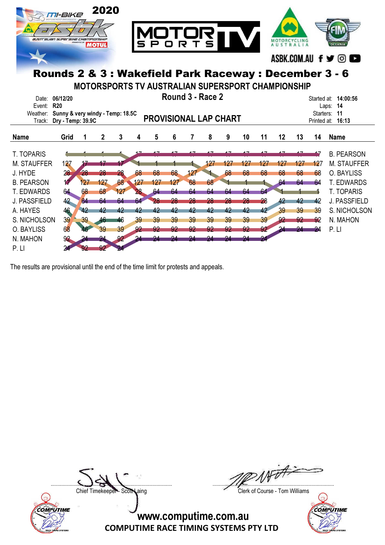

| Event:              | <b>R20</b>                       |       |     |     |     |     |     |     |     |                              |     |     |     |     |             | -14<br>Laps:        |
|---------------------|----------------------------------|-------|-----|-----|-----|-----|-----|-----|-----|------------------------------|-----|-----|-----|-----|-------------|---------------------|
| Weather:            | Sunny & very windy - Temp: 18.5C |       |     |     |     |     |     |     |     |                              |     |     |     |     | Starters:   | 11                  |
| Track:              | Dry - Temp: 39.9C                |       |     |     |     |     |     |     |     | <b>PROVISIONAL LAP CHART</b> |     |     |     |     | Printed at: | 16:13               |
|                     |                                  |       |     |     |     |     |     |     |     |                              |     |     |     |     |             |                     |
| <b>Name</b>         | Grid                             |       | 2   | 3   | 4   | 5   | 6   |     | 8   | 9                            | 10  | 11  | 12  | 13  | 14          | <b>Name</b>         |
|                     |                                  |       |     |     |     |     |     |     |     |                              |     |     |     |     |             |                     |
| T. TOPARIS          |                                  |       |     |     |     |     |     |     |     |                              |     |     |     |     |             | <b>B. PEARSON</b>   |
| <b>M. STAUFFER</b>  | 127                              |       |     |     |     |     |     |     | 127 | 127                          | 427 | 427 | 127 | 127 | 127         | <b>M. STAUFFER</b>  |
| J. HYDE             | 28                               | $-28$ | 28  | 28  | 68  | 68  | 68  | 127 |     | 68                           | 68  | 68  | 68  | 68  | 68          | O. BAYLISS          |
| <b>B. PEARSON</b>   |                                  |       | 127 | 68  | 127 | 127 | 127 | 68  | 68  |                              |     |     | 64  | 64  | 64          | <b>T. EDWARDS</b>   |
| T. EDWARDS          | 64                               | 68    | 68  | 127 | 28  | 64  | 64  | 64  | 64  | 64                           | 64  | 64  |     |     |             | <b>T. TOPARIS</b>   |
| <b>J. PASSFIELD</b> | 42                               | 64    | 64  | 64  | 64  |     | 28  | 28  |     | 28                           | 28  | 28  | 42  | 42  | 42          | <b>J. PASSFIELD</b> |
| A. HAYES            | 46                               | 42    | 42  | 42  | 42  | 42  | 42  | 42  | 42  | 42                           | 42  | 42  | 39  | 39  | 39          | S. NICHOLSON        |
| S. NICHOLSON        | 39                               | 39    | 46  | 46  | 39  | 39  | 39  | 39  | 39  | 39                           | 39  | 39  | 92  | -92 | -92         | N. MAHON            |
| O. BAYLISS          | 68                               |       | 39  | 39  | 92  | 92  |     |     |     | 92                           | 92  | 92  |     | 94  | -24         | $P$ $ $             |
| N. MAHON            | 92                               |       |     | 92  | 24  | 94  |     |     |     | 94                           | 94  |     |     |     |             |                     |
| P. LI               |                                  |       |     |     |     |     |     |     |     |                              |     |     |     |     |             |                     |

The results are provisional until the end of the time limit for protests and appeals.



....................................................................................... .......................................................................................

Chief Timekeeper - Scott Laing Clerk of Course - Tom Williams

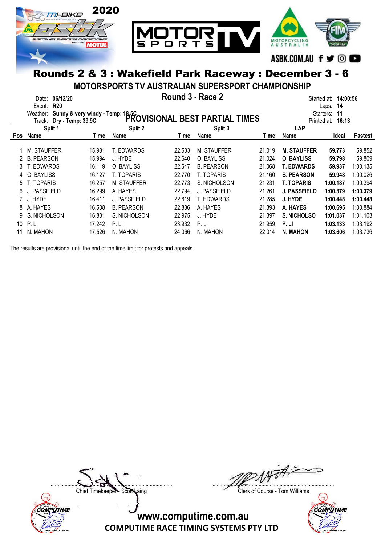

MOTORSPORTS TV AUSTRALIAN SUPERSPORT CHAMPIONSHIP

|            | 06/12/20<br>Date:<br><b>R20</b><br>Event: |        | Round 3 - Race 2                                                                     |        |                                         |        | Started at: <b>14:00:56</b><br>14<br>Laps: |          |          |  |  |
|------------|-------------------------------------------|--------|--------------------------------------------------------------------------------------|--------|-----------------------------------------|--------|--------------------------------------------|----------|----------|--|--|
|            | Weather:<br>Track:                        |        | Sunny & very windy - Temp: 18.5C<br>Dry - Tamp: 39.9C PROVISIONAL BEST PARTIAL TIMES |        | 11<br>Starters:<br>Printed at:<br>16:13 |        |                                            |          |          |  |  |
|            | Split 1                                   |        | Split 2                                                                              |        | Split 3                                 |        | <b>LAP</b>                                 |          |          |  |  |
| <b>Pos</b> | <b>Name</b>                               | Time   | Name                                                                                 | Time   | Name                                    | Time   | Name                                       | Ideal    | Fastest  |  |  |
|            | M. STAUFFER                               | 15.981 | T. EDWARDS                                                                           | 22.533 | M. STAUFFER                             | 21.019 | <b>M. STAUFFER</b>                         | 59.773   | 59.852   |  |  |
| 2          | <b>B. PEARSON</b>                         | 15.994 | J. HYDE                                                                              | 22.640 | O. BAYLISS                              | 21.024 | <b>O. BAYLISS</b>                          | 59.798   | 59.809   |  |  |
| 3.         | T. EDWARDS                                | 16.119 | O. BAYLISS                                                                           | 22.647 | <b>B. PEARSON</b>                       | 21.068 | <b>T. EDWARDS</b>                          | 59.937   | 1:00.135 |  |  |
|            | O. BAYLISS                                | 16.127 | T. TOPARIS                                                                           | 22.770 | T. TOPARIS                              | 21.160 | <b>B. PEARSON</b>                          | 59.948   | 1:00.026 |  |  |
| 5.         | . TOPARIS                                 | 16.257 | M. STAUFFER                                                                          | 22.773 | S. NICHOLSON                            | 21.231 | <b>T. TOPARIS</b>                          | 1:00.187 | 1:00.394 |  |  |
| 6.         | J. PASSFIELD                              | 16.299 | A. HAYES                                                                             | 22.794 | <b>J. PASSFIELD</b>                     | 21.261 | <b>J. PASSFIELD</b>                        | 1:00.379 | 1:00.379 |  |  |
|            | 7 J. HYDE                                 | 16.411 | J. PASSFIELD                                                                         | 22.819 | T. EDWARDS                              | 21.285 | J. HYDE                                    | 1:00.448 | 1:00.448 |  |  |
| 8          | A. HAYES                                  | 16.508 | <b>B. PEARSON</b>                                                                    | 22.886 | A. HAYES                                | 21.393 | A. HAYES                                   | 1:00.695 | 1:00.884 |  |  |
| 9          | S. NICHOLSON                              | 16.831 | S. NICHOLSON                                                                         | 22.975 | J. HYDE                                 | 21.397 | S. NICHOLSO                                | 1:01.037 | 1:01.103 |  |  |
| 10         | P.LI                                      | 17.242 | P. LI                                                                                | 23.932 | P. LI                                   | 21.959 | P.LI                                       | 1:03.133 | 1:03.192 |  |  |
|            | N. MAHON                                  | 17.526 | N. MAHON                                                                             | 24.066 | N. MAHON                                | 22.014 | N. MAHON                                   | 1:03.606 | 1:03.736 |  |  |

The results are provisional until the end of the time limit for protests and appeals.



....................................................................................... .......................................................................................

Chief Timekeeper - Scott Laing Clerk of Course - Tom Williams

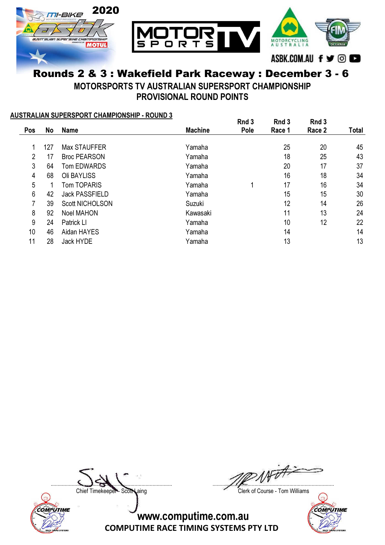

#### Rounds 2 & 3 : Wakefield Park Raceway : December 3 - 6 MOTORSPORTS TV AUSTRALIAN SUPERSPORT CHAMPIONSHIP

PROVISIONAL ROUND POINTS

#### AUSTRALIAN SUPERSPORT CHAMPIONSHIP - ROUND 3

|     |     |                        |                | Rnd 3 | Rnd 3  | Rnd 3  |              |
|-----|-----|------------------------|----------------|-------|--------|--------|--------------|
| Pos | No  | <b>Name</b>            | <b>Machine</b> | Pole  | Race 1 | Race 2 | <b>Total</b> |
|     |     |                        |                |       |        |        |              |
|     | 127 | Max STAUFFER           | Yamaha         |       | 25     | 20     | 45           |
| 2   | 17  | <b>Broc PEARSON</b>    | Yamaha         |       | 18     | 25     | 43           |
| 3   | 64  | <b>Tom EDWARDS</b>     | Yamaha         |       | 20     | 17     | 37           |
| 4   | 68  | Oli BAYLISS            | Yamaha         |       | 16     | 18     | 34           |
| 5   |     | <b>Tom TOPARIS</b>     | Yamaha         | 1     | 17     | 16     | 34           |
| 6   | 42  | <b>Jack PASSFIELD</b>  | Yamaha         |       | 15     | 15     | 30           |
|     | 39  | <b>Scott NICHOLSON</b> | Suzuki         |       | 12     | 14     | 26           |
| 8   | 92  | <b>Noel MAHON</b>      | Kawasaki       |       | 11     | 13     | 24           |
| 9   | 24  | Patrick LI             | Yamaha         |       | 10     | 12     | 22           |
| 10  | 46  | Aidan HAYES            | Yamaha         |       | 14     |        | 14           |
| 11  | 28  | Jack HYDE              | Yamaha         |       | 13     |        | 13           |
|     |     |                        |                |       |        |        |              |



....................................................................................... .......................................................................................

Chief Timekeeper - Scott Laing Clerk of Course - Tom Williams

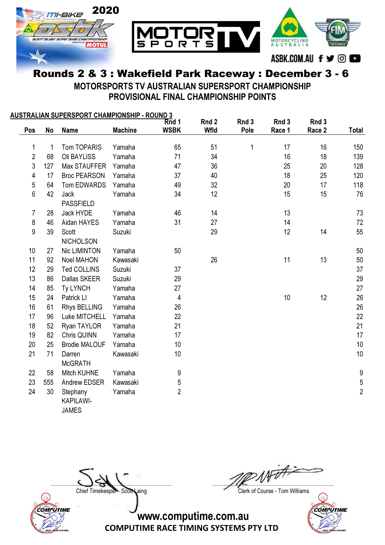

MOTORSPORTS TV AUSTRALIAN SUPERSPORT CHAMPIONSHIP PROVISIONAL FINAL CHAMPIONSHIP POINTS

|                |     | <u> AUSTRALIAN SUPERSPORT CHAMPIONSHIP - ROUND 3</u> |                |                |             |       |        |        |                  |
|----------------|-----|------------------------------------------------------|----------------|----------------|-------------|-------|--------|--------|------------------|
|                |     |                                                      |                | Rnd 1          | Rnd 2       | Rnd 3 | Rnd 3  | Rnd 3  |                  |
| Pos            | No  | <b>Name</b>                                          | <b>Machine</b> | <b>WSBK</b>    | <b>Wfld</b> | Pole  | Race 1 | Race 2 | <b>Total</b>     |
| $\mathbf 1$    | 1   | Tom TOPARIS                                          | Yamaha         | 65             | 51          | 1     | 17     | 16     | 150              |
| $\overline{2}$ | 68  | Oli BAYLISS                                          | Yamaha         | 71             | 34          |       | 16     | 18     | 139              |
| 3              | 127 | Max STAUFFER                                         | Yamaha         | 47             | 36          |       | 25     | 20     | 128              |
| 4              | 17  | <b>Broc PEARSON</b>                                  | Yamaha         | 37             | 40          |       | 18     | 25     | 120              |
| 5              | 64  | Tom EDWARDS                                          | Yamaha         | 49             | 32          |       | 20     | 17     | 118              |
| 6              | 42  | Jack<br><b>PASSFIELD</b>                             | Yamaha         | 34             | 12          |       | 15     | 15     | 76               |
| 7              | 28  | Jack HYDE                                            | Yamaha         | 46             | 14          |       | 13     |        | 73               |
| 8              | 46  | Aidan HAYES                                          | Yamaha         | 31             | 27          |       | 14     |        | 72               |
| 9              | 39  | Scott                                                | Suzuki         |                | 29          |       | 12     | 14     | 55               |
|                |     | <b>NICHOLSON</b>                                     |                |                |             |       |        |        |                  |
| 10             | 27  | Nic LIMINTON                                         | Yamaha         | 50             |             |       |        |        | 50               |
| 11             | 92  | <b>Noel MAHON</b>                                    | Kawasaki       |                | 26          |       | 11     | 13     | 50               |
| 12             | 29  | <b>Ted COLLINS</b>                                   | Suzuki         | 37             |             |       |        |        | 37               |
| 13             | 86  | Dallas SKEER                                         | Suzuki         | 29             |             |       |        |        | 29               |
| 14             | 85  | <b>Ty LYNCH</b>                                      | Yamaha         | 27             |             |       |        |        | 27               |
| 15             | 24  | Patrick LI                                           | Yamaha         | 4              |             |       | 10     | 12     | 26               |
| 16             | 61  | Rhys BELLING                                         | Yamaha         | 26             |             |       |        |        | 26               |
| 17             | 96  | Luke MITCHELL                                        | Yamaha         | 22             |             |       |        |        | 22               |
| 18             | 52  | Ryan TAYLOR                                          | Yamaha         | 21             |             |       |        |        | 21               |
| 19             | 82  | Chris QUINN                                          | Yamaha         | 17             |             |       |        |        | 17               |
| 20             | 25  | <b>Brodie MALOUF</b>                                 | Yamaha         | 10             |             |       |        |        | 10               |
| 21             | 71  | Darren<br><b>McGRATH</b>                             | Kawasaki       | 10             |             |       |        |        | 10               |
| 22             | 58  | Mitch KUHNE                                          | Yamaha         | 9              |             |       |        |        | $\boldsymbol{9}$ |
| 23             | 555 | Andrew EDSER                                         | Kawasaki       | 5              |             |       |        |        | $\overline{5}$   |
| 24             | 30  | Stephany<br>KAPILAWI-<br><b>JAMES</b>                | Yamaha         | $\overline{2}$ |             |       |        |        | $\overline{2}$   |



....................................................................................... .......................................................................................

Chief Timekeeper - Scott Laing Clerk of Course - Tom Williams